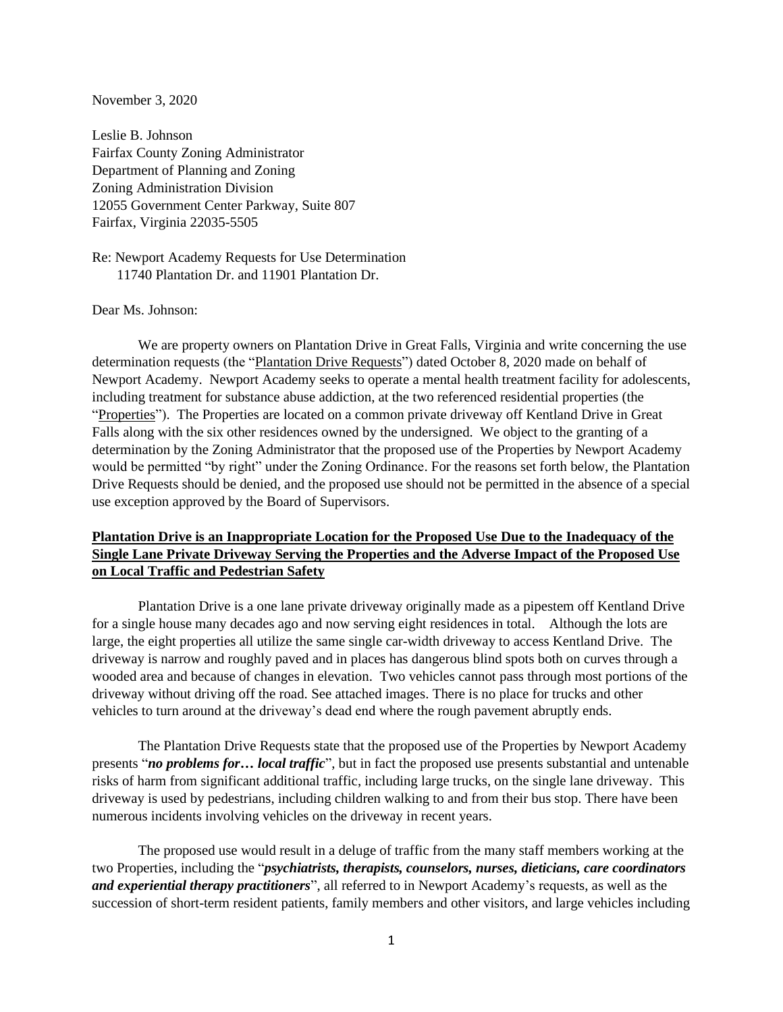#### November 3, 2020

Leslie B. Johnson Fairfax County Zoning Administrator Department of Planning and Zoning Zoning Administration Division 12055 Government Center Parkway, Suite 807 Fairfax, Virginia 22035-5505

Re: Newport Academy Requests for Use Determination 11740 Plantation Dr. and 11901 Plantation Dr.

#### Dear Ms. Johnson:

We are property owners on Plantation Drive in Great Falls, Virginia and write concerning the use determination requests (the "Plantation Drive Requests") dated October 8, 2020 made on behalf of Newport Academy. Newport Academy seeks to operate a mental health treatment facility for adolescents, including treatment for substance abuse addiction, at the two referenced residential properties (the "Properties"). The Properties are located on a common private driveway off Kentland Drive in Great Falls along with the six other residences owned by the undersigned. We object to the granting of a determination by the Zoning Administrator that the proposed use of the Properties by Newport Academy would be permitted "by right" under the Zoning Ordinance. For the reasons set forth below, the Plantation Drive Requests should be denied, and the proposed use should not be permitted in the absence of a special use exception approved by the Board of Supervisors.

#### **Plantation Drive is an Inappropriate Location for the Proposed Use Due to the Inadequacy of the Single Lane Private Driveway Serving the Properties and the Adverse Impact of the Proposed Use on Local Traffic and Pedestrian Safety**

Plantation Drive is a one lane private driveway originally made as a pipestem off Kentland Drive for a single house many decades ago and now serving eight residences in total. Although the lots are large, the eight properties all utilize the same single car-width driveway to access Kentland Drive. The driveway is narrow and roughly paved and in places has dangerous blind spots both on curves through a wooded area and because of changes in elevation. Two vehicles cannot pass through most portions of the driveway without driving off the road. See attached images. There is no place for trucks and other vehicles to turn around at the driveway's dead end where the rough pavement abruptly ends.

The Plantation Drive Requests state that the proposed use of the Properties by Newport Academy presents "*no problems for… local traffic*", but in fact the proposed use presents substantial and untenable risks of harm from significant additional traffic, including large trucks, on the single lane driveway. This driveway is used by pedestrians, including children walking to and from their bus stop. There have been numerous incidents involving vehicles on the driveway in recent years.

The proposed use would result in a deluge of traffic from the many staff members working at the two Properties, including the "*psychiatrists, therapists, counselors, nurses, dieticians, care coordinators and experiential therapy practitioners*", all referred to in Newport Academy's requests, as well as the succession of short-term resident patients, family members and other visitors, and large vehicles including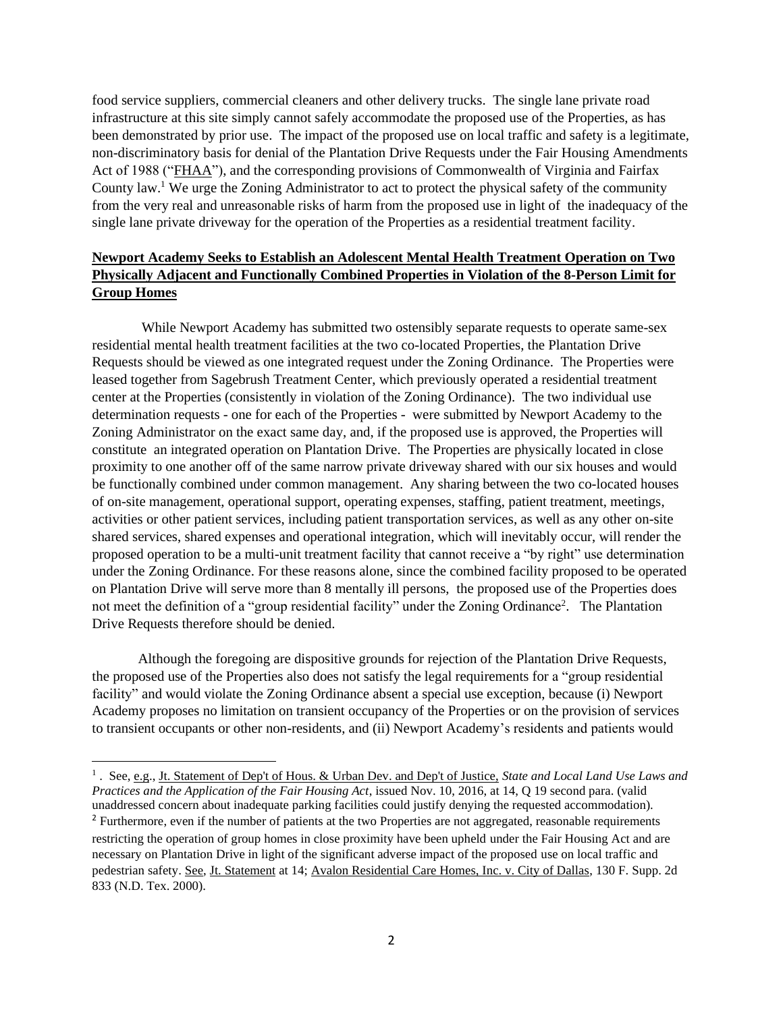food service suppliers, commercial cleaners and other delivery trucks. The single lane private road infrastructure at this site simply cannot safely accommodate the proposed use of the Properties, as has been demonstrated by prior use. The impact of the proposed use on local traffic and safety is a legitimate, non-discriminatory basis for denial of the Plantation Drive Requests under the Fair Housing Amendments Act of 1988 ("FHAA"), and the corresponding provisions of Commonwealth of Virginia and Fairfax County law. <sup>1</sup> We urge the Zoning Administrator to act to protect the physical safety of the community from the very real and unreasonable risks of harm from the proposed use in light of the inadequacy of the single lane private driveway for the operation of the Properties as a residential treatment facility.

#### **Newport Academy Seeks to Establish an Adolescent Mental Health Treatment Operation on Two Physically Adjacent and Functionally Combined Properties in Violation of the 8-Person Limit for Group Homes**

While Newport Academy has submitted two ostensibly separate requests to operate same-sex residential mental health treatment facilities at the two co-located Properties, the Plantation Drive Requests should be viewed as one integrated request under the Zoning Ordinance. The Properties were leased together from Sagebrush Treatment Center, which previously operated a residential treatment center at the Properties (consistently in violation of the Zoning Ordinance). The two individual use determination requests - one for each of the Properties - were submitted by Newport Academy to the Zoning Administrator on the exact same day, and, if the proposed use is approved, the Properties will constitute an integrated operation on Plantation Drive. The Properties are physically located in close proximity to one another off of the same narrow private driveway shared with our six houses and would be functionally combined under common management. Any sharing between the two co-located houses of on-site management, operational support, operating expenses, staffing, patient treatment, meetings, activities or other patient services, including patient transportation services, as well as any other on-site shared services, shared expenses and operational integration, which will inevitably occur, will render the proposed operation to be a multi-unit treatment facility that cannot receive a "by right" use determination under the Zoning Ordinance. For these reasons alone, since the combined facility proposed to be operated on Plantation Drive will serve more than 8 mentally ill persons, the proposed use of the Properties does not meet the definition of a "group residential facility" under the Zoning Ordinance<sup>2</sup>. The Plantation Drive Requests therefore should be denied.

Although the foregoing are dispositive grounds for rejection of the Plantation Drive Requests, the proposed use of the Properties also does not satisfy the legal requirements for a "group residential facility" and would violate the Zoning Ordinance absent a special use exception, because (i) Newport Academy proposes no limitation on transient occupancy of the Properties or on the provision of services to transient occupants or other non-residents, and (ii) Newport Academy's residents and patients would

<sup>&</sup>lt;sup>1</sup>. See, e.g., Jt. Statement of Dep't of Hous. & Urban Dev. and Dep't of Justice, *State and Local Land Use Laws and Practices and the Application of the Fair Housing Act*, issued Nov. 10, 2016, at 14, Q 19 second para. (valid unaddressed concern about inadequate parking facilities could justify denying the requested accommodation). <sup>2</sup> Furthermore, even if the number of patients at the two Properties are not aggregated, reasonable requirements restricting the operation of group homes in close proximity have been upheld under the Fair Housing Act and are necessary on Plantation Drive in light of the significant adverse impact of the proposed use on local traffic and pedestrian safety. See, Jt. Statement at 14; Avalon Residential Care Homes, Inc. v. City of Dallas, 130 F. Supp. 2d 833 (N.D. Tex. 2000).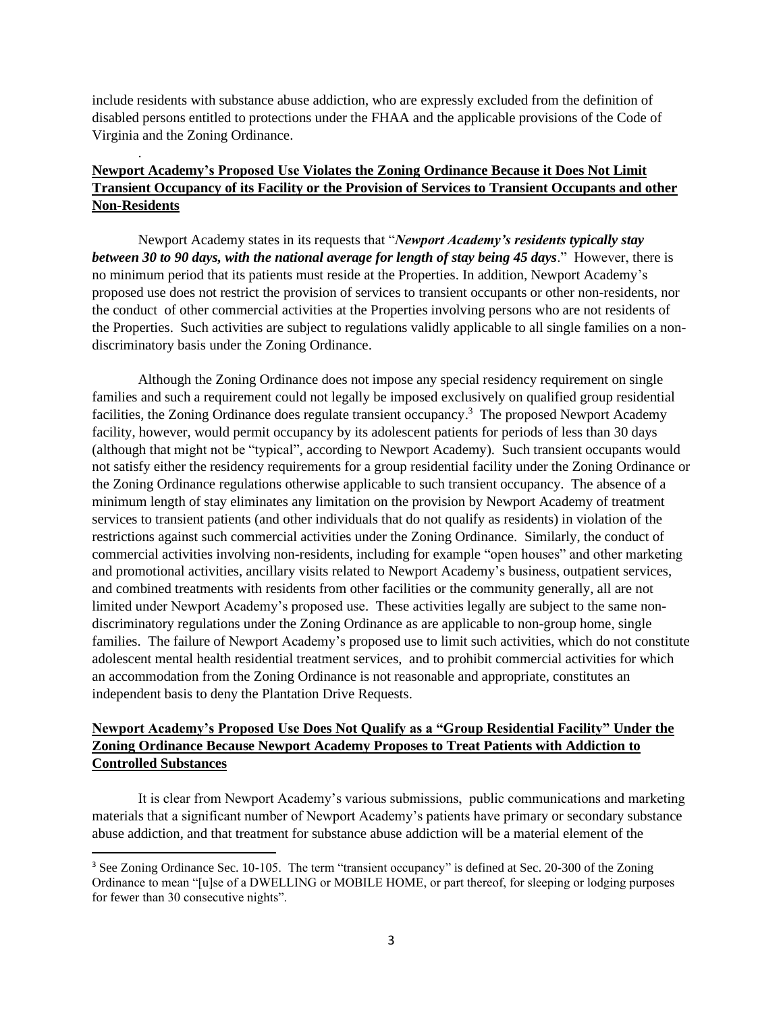include residents with substance abuse addiction, who are expressly excluded from the definition of disabled persons entitled to protections under the FHAA and the applicable provisions of the Code of Virginia and the Zoning Ordinance.

.

# **Newport Academy's Proposed Use Violates the Zoning Ordinance Because it Does Not Limit Transient Occupancy of its Facility or the Provision of Services to Transient Occupants and other Non-Residents**

Newport Academy states in its requests that "*Newport Academy's residents typically stay between 30 to 90 days, with the national average for length of stay being 45 days*." However, there is no minimum period that its patients must reside at the Properties. In addition, Newport Academy's proposed use does not restrict the provision of services to transient occupants or other non-residents, nor the conduct of other commercial activities at the Properties involving persons who are not residents of the Properties. Such activities are subject to regulations validly applicable to all single families on a nondiscriminatory basis under the Zoning Ordinance.

Although the Zoning Ordinance does not impose any special residency requirement on single families and such a requirement could not legally be imposed exclusively on qualified group residential facilities, the Zoning Ordinance does regulate transient occupancy.<sup>3</sup> The proposed Newport Academy facility, however, would permit occupancy by its adolescent patients for periods of less than 30 days (although that might not be "typical", according to Newport Academy). Such transient occupants would not satisfy either the residency requirements for a group residential facility under the Zoning Ordinance or the Zoning Ordinance regulations otherwise applicable to such transient occupancy. The absence of a minimum length of stay eliminates any limitation on the provision by Newport Academy of treatment services to transient patients (and other individuals that do not qualify as residents) in violation of the restrictions against such commercial activities under the Zoning Ordinance. Similarly, the conduct of commercial activities involving non-residents, including for example "open houses" and other marketing and promotional activities, ancillary visits related to Newport Academy's business, outpatient services, and combined treatments with residents from other facilities or the community generally, all are not limited under Newport Academy's proposed use. These activities legally are subject to the same nondiscriminatory regulations under the Zoning Ordinance as are applicable to non-group home, single families. The failure of Newport Academy's proposed use to limit such activities, which do not constitute adolescent mental health residential treatment services, and to prohibit commercial activities for which an accommodation from the Zoning Ordinance is not reasonable and appropriate, constitutes an independent basis to deny the Plantation Drive Requests.

# **Newport Academy's Proposed Use Does Not Qualify as a "Group Residential Facility" Under the Zoning Ordinance Because Newport Academy Proposes to Treat Patients with Addiction to Controlled Substances**

It is clear from Newport Academy's various submissions, public communications and marketing materials that a significant number of Newport Academy's patients have primary or secondary substance abuse addiction, and that treatment for substance abuse addiction will be a material element of the

<sup>&</sup>lt;sup>3</sup> See Zoning Ordinance Sec. 10-105. The term "transient occupancy" is defined at Sec. 20-300 of the Zoning Ordinance to mean "[u]se of a DWELLING or MOBILE HOME, or part thereof, for sleeping or lodging purposes for fewer than 30 consecutive nights".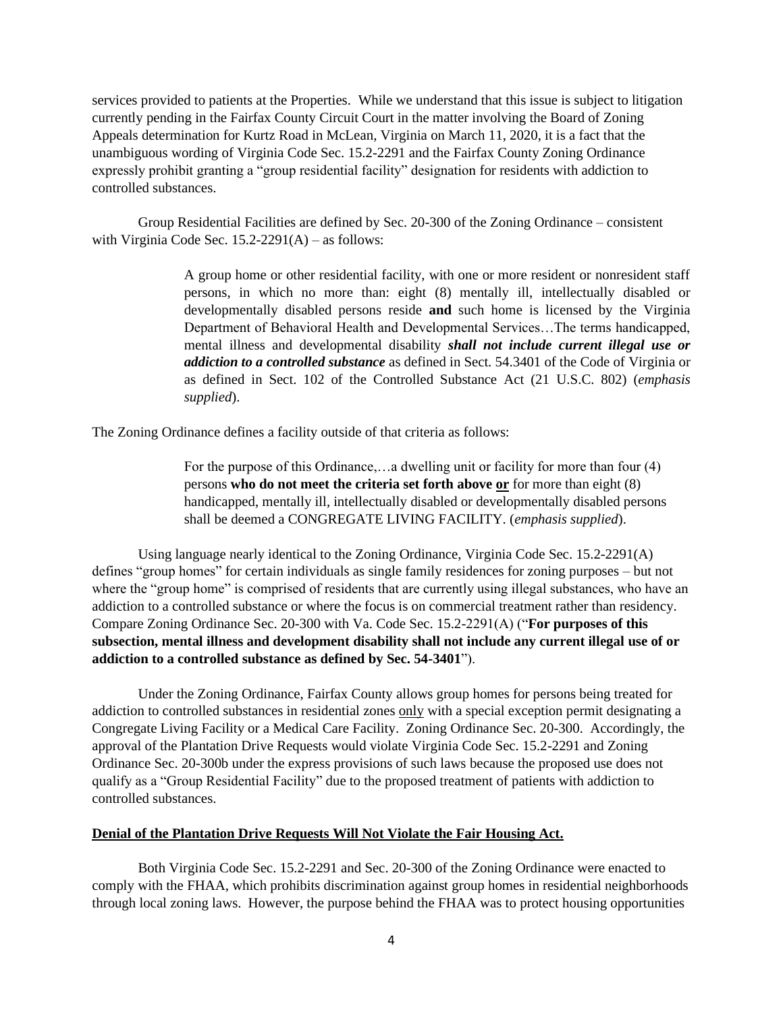services provided to patients at the Properties. While we understand that this issue is subject to litigation currently pending in the Fairfax County Circuit Court in the matter involving the Board of Zoning Appeals determination for Kurtz Road in McLean, Virginia on March 11, 2020, it is a fact that the unambiguous wording of Virginia Code Sec. 15.2-2291 and the Fairfax County Zoning Ordinance expressly prohibit granting a "group residential facility" designation for residents with addiction to controlled substances.

Group Residential Facilities are defined by Sec. 20-300 of the Zoning Ordinance – consistent with Virginia Code Sec.  $15.2-2291(A)$  – as follows:

> A group home or other residential facility, with one or more resident or nonresident staff persons, in which no more than: eight (8) mentally ill, intellectually disabled or developmentally disabled persons reside **and** such home is licensed by the Virginia Department of Behavioral Health and Developmental Services…The terms handicapped, mental illness and developmental disability *shall not include current illegal use or addiction to a controlled substance* as defined in Sect. 54.3401 of the Code of Virginia or as defined in Sect. 102 of the Controlled Substance Act (21 U.S.C. 802) (*emphasis supplied*).

The Zoning Ordinance defines a facility outside of that criteria as follows:

For the purpose of this Ordinance,…a dwelling unit or facility for more than four (4) persons **who do not meet the criteria set forth above or** for more than eight (8) handicapped, mentally ill, intellectually disabled or developmentally disabled persons shall be deemed a CONGREGATE LIVING FACILITY. (*emphasis supplied*).

Using language nearly identical to the Zoning Ordinance, Virginia Code Sec. 15.2-2291(A) defines "group homes" for certain individuals as single family residences for zoning purposes – but not where the "group home" is comprised of residents that are currently using illegal substances, who have an addiction to a controlled substance or where the focus is on commercial treatment rather than residency. Compare Zoning Ordinance Sec. 20-300 with Va. Code Sec. 15.2-2291(A) ("**For purposes of this subsection, mental illness and development disability shall not include any current illegal use of or addiction to a controlled substance as defined by Sec. 54-3401**").

Under the Zoning Ordinance, Fairfax County allows group homes for persons being treated for addiction to controlled substances in residential zones only with a special exception permit designating a Congregate Living Facility or a Medical Care Facility. Zoning Ordinance Sec. 20-300. Accordingly, the approval of the Plantation Drive Requests would violate Virginia Code Sec. 15.2-2291 and Zoning Ordinance Sec. 20-300b under the express provisions of such laws because the proposed use does not qualify as a "Group Residential Facility" due to the proposed treatment of patients with addiction to controlled substances.

#### **Denial of the Plantation Drive Requests Will Not Violate the Fair Housing Act.**

Both Virginia Code Sec. 15.2-2291 and Sec. 20-300 of the Zoning Ordinance were enacted to comply with the FHAA, which prohibits discrimination against group homes in residential neighborhoods through local zoning laws. However, the purpose behind the FHAA was to protect housing opportunities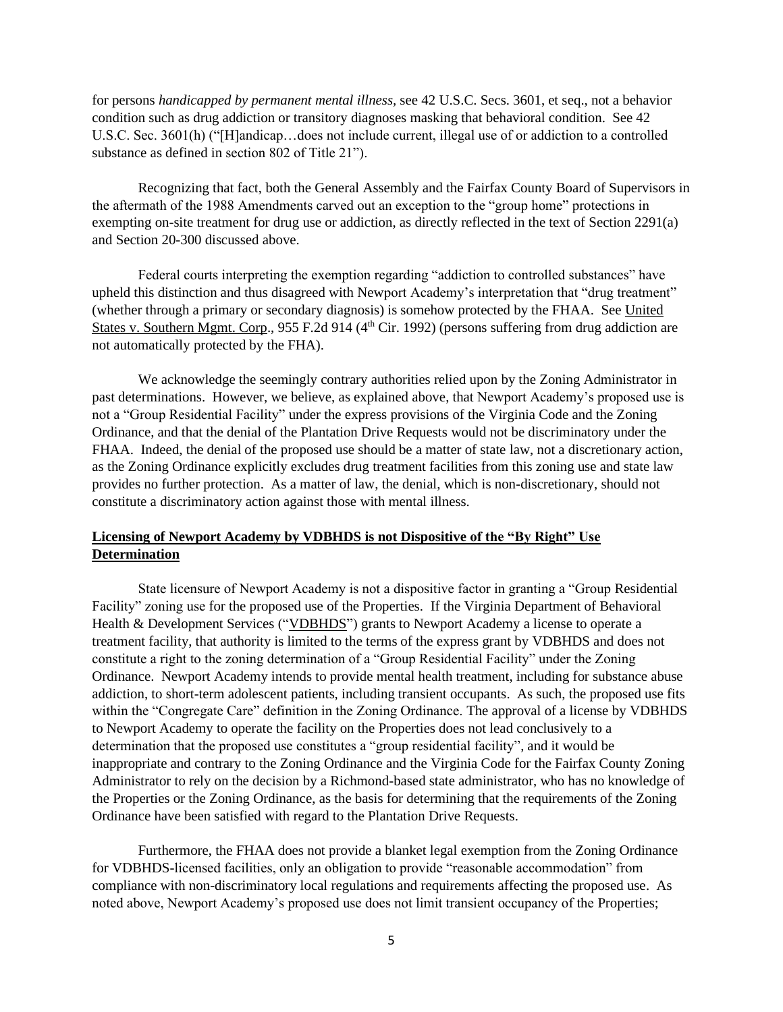for persons *handicapped by permanent mental illness,* see 42 U.S.C. Secs. 3601, et seq., not a behavior condition such as drug addiction or transitory diagnoses masking that behavioral condition. See 42 U.S.C. Sec. 3601(h) ("[H]andicap…does not include current, illegal use of or addiction to a controlled substance as defined in section 802 of Title 21").

Recognizing that fact, both the General Assembly and the Fairfax County Board of Supervisors in the aftermath of the 1988 Amendments carved out an exception to the "group home" protections in exempting on-site treatment for drug use or addiction, as directly reflected in the text of Section 2291(a) and Section 20-300 discussed above.

Federal courts interpreting the exemption regarding "addiction to controlled substances" have upheld this distinction and thus disagreed with Newport Academy's interpretation that "drug treatment" (whether through a primary or secondary diagnosis) is somehow protected by the FHAA. See United States v. Southern Mgmt. Corp., 955 F.2d 914 (4<sup>th</sup> Cir. 1992) (persons suffering from drug addiction are not automatically protected by the FHA).

We acknowledge the seemingly contrary authorities relied upon by the Zoning Administrator in past determinations. However, we believe, as explained above, that Newport Academy's proposed use is not a "Group Residential Facility" under the express provisions of the Virginia Code and the Zoning Ordinance, and that the denial of the Plantation Drive Requests would not be discriminatory under the FHAA. Indeed, the denial of the proposed use should be a matter of state law, not a discretionary action, as the Zoning Ordinance explicitly excludes drug treatment facilities from this zoning use and state law provides no further protection. As a matter of law, the denial, which is non-discretionary, should not constitute a discriminatory action against those with mental illness.

# **Licensing of Newport Academy by VDBHDS is not Dispositive of the "By Right" Use Determination**

State licensure of Newport Academy is not a dispositive factor in granting a "Group Residential Facility" zoning use for the proposed use of the Properties. If the Virginia Department of Behavioral Health & Development Services ("VDBHDS") grants to Newport Academy a license to operate a treatment facility, that authority is limited to the terms of the express grant by VDBHDS and does not constitute a right to the zoning determination of a "Group Residential Facility" under the Zoning Ordinance. Newport Academy intends to provide mental health treatment, including for substance abuse addiction, to short-term adolescent patients, including transient occupants. As such, the proposed use fits within the "Congregate Care" definition in the Zoning Ordinance. The approval of a license by VDBHDS to Newport Academy to operate the facility on the Properties does not lead conclusively to a determination that the proposed use constitutes a "group residential facility", and it would be inappropriate and contrary to the Zoning Ordinance and the Virginia Code for the Fairfax County Zoning Administrator to rely on the decision by a Richmond-based state administrator, who has no knowledge of the Properties or the Zoning Ordinance, as the basis for determining that the requirements of the Zoning Ordinance have been satisfied with regard to the Plantation Drive Requests.

Furthermore, the FHAA does not provide a blanket legal exemption from the Zoning Ordinance for VDBHDS-licensed facilities, only an obligation to provide "reasonable accommodation" from compliance with non-discriminatory local regulations and requirements affecting the proposed use. As noted above, Newport Academy's proposed use does not limit transient occupancy of the Properties;